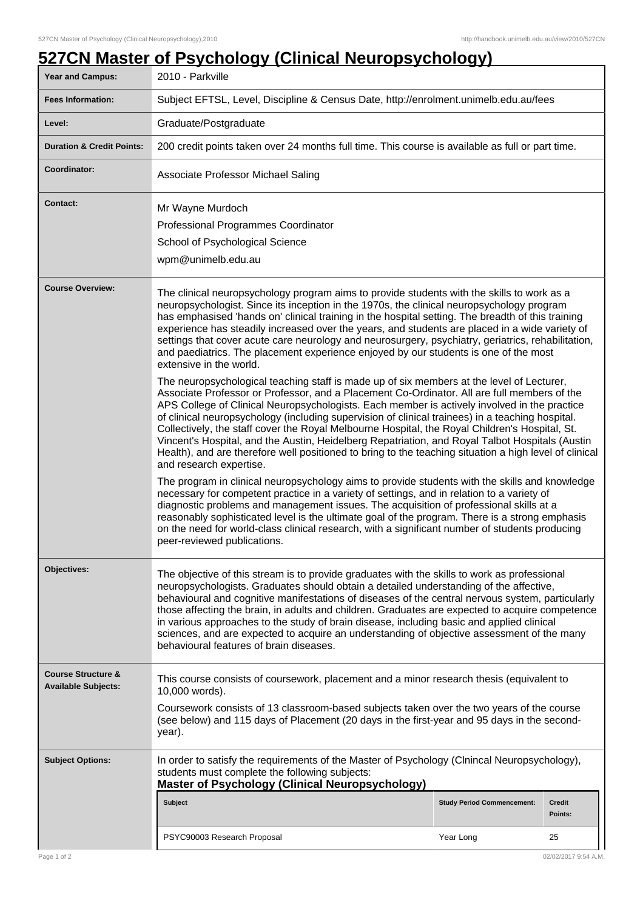## **Year and Campus:** 2010 - Parkville **Fees Information:** [Subject EFTSL, Level, Discipline & Census Date, http://enrolment.unimelb.edu.au/fees](http://enrolment.unimelb.edu.au/fees) Level: Graduate/Postgraduate **Duration & Credit Points:** 200 credit points taken over 24 months full time. This course is available as full or part time. **Coordinator:** Associate Professor Michael Saling **Contact:** Mr Wayne Murdoch Professional Programmes Coordinator School of Psychological Science wpm@unimelb.edu.au **Course Overview:** The clinical neuropsychology program aims to provide students with the skills to work as a neuropsychologist. Since its inception in the 1970s, the clinical neuropsychology program has emphasised 'hands on' clinical training in the hospital setting. The breadth of this training experience has steadily increased over the years, and students are placed in a wide variety of settings that cover acute care neurology and neurosurgery, psychiatry, geriatrics, rehabilitation, and paediatrics. The placement experience enjoyed by our students is one of the most extensive in the world. The neuropsychological teaching staff is made up of six members at the level of Lecturer, Associate Professor or Professor, and a Placement Co-Ordinator. All are full members of the APS College of Clinical Neuropsychologists. Each member is actively involved in the practice of clinical neuropsychology (including supervision of clinical trainees) in a teaching hospital. Collectively, the staff cover the Royal Melbourne Hospital, the Royal Children's Hospital, St. Vincent's Hospital, and the Austin, Heidelberg Repatriation, and Royal Talbot Hospitals (Austin Health), and are therefore well positioned to bring to the teaching situation a high level of clinical and research expertise. The program in clinical neuropsychology aims to provide students with the skills and knowledge necessary for competent practice in a variety of settings, and in relation to a variety of diagnostic problems and management issues. The acquisition of professional skills at a reasonably sophisticated level is the ultimate goal of the program. There is a strong emphasis on the need for world-class clinical research, with a significant number of students producing peer-reviewed publications. **Objectives:** The objective of this stream is to provide graduates with the skills to work as professional neuropsychologists. Graduates should obtain a detailed understanding of the affective, behavioural and cognitive manifestations of diseases of the central nervous system, particularly those affecting the brain, in adults and children. Graduates are expected to acquire competence in various approaches to the study of brain disease, including basic and applied clinical sciences, and are expected to acquire an understanding of objective assessment of the many behavioural features of brain diseases. **Course Structure & Available Subjects:** This course consists of coursework, placement and a minor research thesis (equivalent to 10,000 words). Coursework consists of 13 classroom-based subjects taken over the two years of the course (see below) and 115 days of Placement (20 days in the first-year and 95 days in the secondyear). **Subject Options:** In order to satisfy the requirements of the Master of Psychology (Clnincal Neuropsychology), students must complete the following subjects: **Master of Psychology (Clinical Neuropsychology) Subject Study Period Commencement: Credit Points:** PSYC90003 Research Proposal New Year Long 25

## **527CN Master of Psychology (Clinical Neuropsychology)**